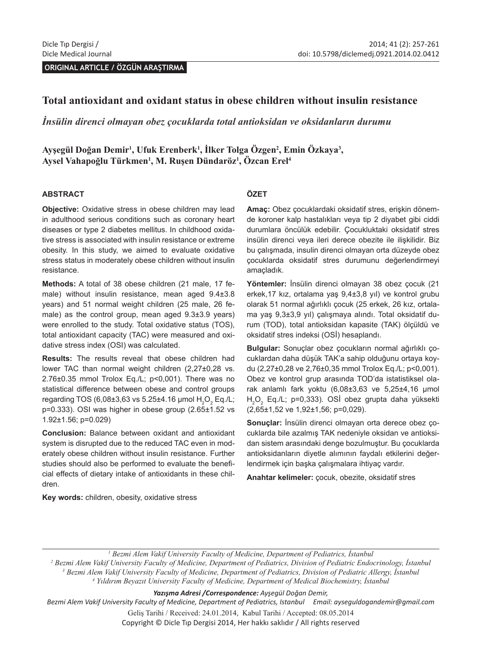**ORIGINAL ARTICLE / ÖZGÜN ARAŞTIRMA**

### **Total antioxidant and oxidant status in obese children without insulin resistance**

*İnsülin direnci olmayan obez çocuklarda total antioksidan ve oksidanların durumu*

**Ayşegül Doğan Demir<sup>1</sup> , Ufuk Erenberk1 , İlker Tolga Özgen<sup>2</sup> , Emin Özkaya<sup>3</sup> , Aysel Vahapoğlu Türkmen<sup>1</sup> , M. Ruşen Dündaröz<sup>1</sup> , Özcan Erel<sup>4</sup>**

#### **ABSTRACT**

**Objective:** Oxidative stress in obese children may lead in adulthood serious conditions such as coronary heart diseases or type 2 diabetes mellitus. In childhood oxidative stress is associated with insulin resistance or extreme obesity. In this study, we aimed to evaluate oxidative stress status in moderately obese children without insulin resistance.

**Methods:** A total of 38 obese children (21 male, 17 female) without insulin resistance, mean aged  $9.4\pm3.8$ years) and 51 normal weight children (25 male, 26 female) as the control group, mean aged 9.3±3.9 years) were enrolled to the study. Total oxidative status (TOS), total antioxidant capacity (TAC) were measured and oxidative stress index (OSI) was calculated.

**Results:** The results reveal that obese children had lower TAC than normal weight children (2,27±0,28 vs. 2.76±0.35 mmol Trolox Eq./L; p<0,001). There was no statistical difference between obese and control groups regarding TOS (6,08±3,63 vs 5.25±4.16 µmol  $\rm H_2O_2$  Eq./L; p=0.333). OSI was higher in obese group (2.65±1.52 vs 1.92±1.56; p=0.029)

**Conclusion:** Balance between oxidant and antioxidant system is disrupted due to the reduced TAC even in moderately obese children without insulin resistance. Further studies should also be performed to evaluate the beneficial effects of dietary intake of antioxidants in these children.

**Key words:** children, obesity, oxidative stress

#### **ÖZET**

**Amaç:** Obez çocuklardaki oksidatif stres, erişkin dönemde koroner kalp hastalıkları veya tip 2 diyabet gibi ciddi durumlara öncülük edebilir. Çocukluktaki oksidatif stres insülin direnci veya ileri derece obezite ile ilişkilidir. Biz bu çalışmada, insulin direnci olmayan orta düzeyde obez çocuklarda oksidatif stres durumunu değerlendirmeyi amaçladık.

**Yöntemler:** İnsülin direnci olmayan 38 obez çocuk (21 erkek,17 kız, ortalama yaş 9,4±3,8 yıl) ve kontrol grubu olarak 51 normal ağırlıklı çocuk (25 erkek, 26 kız, ortalama yaş 9,3±3,9 yıl) çalışmaya alındı. Total oksidatif durum (TOD), total antioksidan kapasite (TAK) ölçüldü ve oksidatif stres indeksi (OSİ) hesaplandı.

**Bulgular:** Sonuçlar obez çocukların normal ağırlıklı çocuklardan daha düşük TAK'a sahip olduğunu ortaya koydu (2,27±0,28 ve 2,76±0,35 mmol Trolox Eq./L; p<0,001). Obez ve kontrol grup arasında TOD'da istatistiksel olarak anlamlı fark yoktu (6,08±3,63 ve 5,25±4,16 μmol  $H_2O_2$  Eq./L; p=0,333). OSI obez grupta daha yüksekti (2,65±1,52 ve 1,92±1,56; p=0,029).

**Sonuçlar:** İnsülin direnci olmayan orta derece obez çocuklarda bile azalmış TAK nedeniyle oksidan ve antioksidan sistem arasındaki denge bozulmuştur. Bu çocuklarda antioksidanların diyetle alımının faydalı etkilerini değerlendirmek için başka çalışmalara ihtiyaç vardır.

**Anahtar kelimeler:** çocuk, obezite, oksidatif stres

*2 Bezmi Alem Vakif University Faculty of Medicine, Department of Pediatrics, Division of Pediatric Endocrinology, İstanbul 3 Bezmi Alem Vakif University Faculty of Medicine, Department of Pediatrics, Division of Pediatric Allergy, İstanbul 4 Yıldırım Beyazıt University Faculty of Medicine, Department of Medical Biochemistry, İstanbul*

*Yazışma Adresi /Correspondence: Ayşegül Doğan Demir,* 

*Bezmi Alem Vakif University Faculty of Medicine, Department of Pediatrics, Istanbul Email: ayseguldogandemir@gmail.com* Geliş Tarihi / Received: 24.01.2014, Kabul Tarihi / Accepted: 08.05.2014 Copyright © Dicle Tıp Dergisi 2014, Her hakkı saklıdır / All rights reserved

*<sup>1</sup> Bezmi Alem Vakif University Faculty of Medicine, Department of Pediatrics, İstanbul*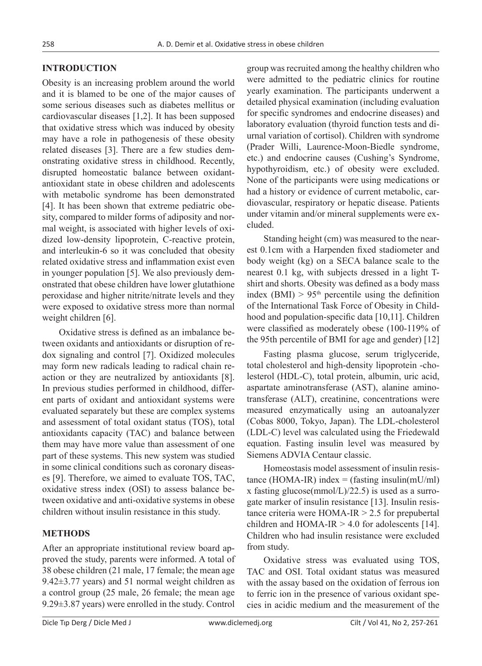#### **INTRODUCTION**

Obesity is an increasing problem around the world and it is blamed to be one of the major causes of some serious diseases such as diabetes mellitus or cardiovascular diseases [1,2]. It has been supposed that oxidative stress which was induced by obesity may have a role in pathogenesis of these obesity related diseases [3]. There are a few studies demonstrating oxidative stress in childhood. Recently, disrupted homeostatic balance between oxidantantioxidant state in obese children and adolescents with metabolic syndrome has been demonstrated [4]. It has been shown that extreme pediatric obesity, compared to milder forms of adiposity and normal weight, is associated with higher levels of oxidized low-density lipoprotein, C-reactive protein, and interleukin-6 so it was concluded that obesity related oxidative stress and inflammation exist even in younger population [5]. We also previously demonstrated that obese children have lower glutathione peroxidase and higher nitrite/nitrate levels and they were exposed to oxidative stress more than normal weight children [6].

Oxidative stress is defined as an imbalance between oxidants and antioxidants or disruption of redox signaling and control [7]. Oxidized molecules may form new radicals leading to radical chain reaction or they are neutralized by antioxidants [8]. In previous studies performed in childhood, different parts of oxidant and antioxidant systems were evaluated separately but these are complex systems and assessment of total oxidant status (TOS), total antioxidants capacity (TAC) and balance between them may have more value than assessment of one part of these systems. This new system was studied in some clinical conditions such as coronary diseases [9]. Therefore, we aimed to evaluate TOS, TAC, oxidative stress index (OSI) to assess balance between oxidative and anti-oxidative systems in obese children without insulin resistance in this study.

### **METHODS**

After an appropriate institutional review board approved the study, parents were informed. A total of 38 obese children (21 male, 17 female; the mean age 9.42 $\pm$ 3.77 years) and 51 normal weight children as a control group (25 male, 26 female; the mean age 9.29±3.87 years) were enrolled in the study. Control

group was recruited among the healthy children who were admitted to the pediatric clinics for routine yearly examination. The participants underwent a detailed physical examination (including evaluation for specific syndromes and endocrine diseases) and laboratory evaluation (thyroid function tests and diurnal variation of cortisol). Children with syndrome (Prader Willi, Laurence-Moon-Biedle syndrome, etc.) and endocrine causes (Cushing's Syndrome, hypothyroidism, etc.) of obesity were excluded. None of the participants were using medications or had a history or evidence of current metabolic, cardiovascular, respiratory or hepatic disease. Patients under vitamin and/or mineral supplements were excluded.

Standing height (cm) was measured to the nearest 0.1cm with a Harpenden fixed stadiometer and body weight (kg) on a SECA balance scale to the nearest 0.1 kg, with subjects dressed in a light Tshirt and shorts. Obesity was defined as a body mass index (BMI)  $> 95<sup>th</sup>$  percentile using the definition of the International Task Force of Obesity in Childhood and population-specific data [10,11]. Children were classified as moderately obese (100-119% of the 95th percentile of BMI for age and gender) [12]

Fasting plasma glucose, serum triglyceride, total cholesterol and high-density lipoprotein -cholesterol (HDL-C), total protein, albumin, uric acid, aspartate aminotransferase (AST), alanine aminotransferase (ALT), creatinine, concentrations were measured enzymatically using an autoanalyzer (Cobas 8000, Tokyo, Japan). The LDL-cholesterol (LDL-C) level was calculated using the Friedewald equation. Fasting insulin level was measured by Siemens ADVIA Centaur classic.

Homeostasis model assessment of insulin resistance (HOMA-IR) index = (fasting insulin(mU/ml) x fasting glucose(mmol/L)/22.5) is used as a surrogate marker of insulin resistance [13]. Insulin resistance criteria were HOMA-IR > 2.5 for prepubertal children and HOMA-IR  $> 4.0$  for adolescents [14]. Children who had insulin resistance were excluded from study.

Oxidative stress was evaluated using TOS, TAC and OSI. Total oxidant status was measured with the assay based on the oxidation of ferrous ion to ferric ion in the presence of various oxidant species in acidic medium and the measurement of the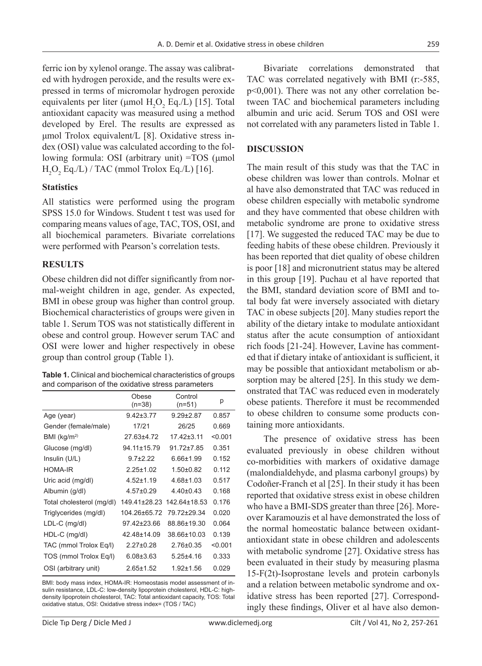ferric ion by xylenol orange. The assay was calibrated with hydrogen peroxide, and the results were expressed in terms of micromolar hydrogen peroxide equivalents per liter ( $\mu$ mol H<sub>2</sub>O<sub>2</sub> Eq./L) [15]. Total antioxidant capacity was measured using a method developed by Erel. The results are expressed as μmol Trolox equivalent/L [8]. Oxidative stress index (OSI) value was calculated according to the following formula: OSI (arbitrary unit) =TOS (μmol  $\rm H_2O_2$  Eq./L) / TAC (mmol Trolox Eq./L) [16].

## **Statistics**

All statistics were performed using the program SPSS 15.0 for Windows. Student t test was used for comparing means values of age, TAC, TOS, OSI, and all biochemical parameters. Bivariate correlations were performed with Pearson's correlation tests.

## **RESULTS**

Obese children did not differ significantly from normal-weight children in age, gender. As expected, BMI in obese group was higher than control group. Biochemical characteristics of groups were given in table 1. Serum TOS was not statistically different in obese and control group. However serum TAC and OSI were lower and higher respectively in obese group than control group (Table 1).

| Table 1. Clinical and biochemical characteristics of groups |  |
|-------------------------------------------------------------|--|
| and comparison of the oxidative stress parameters           |  |

|                           | Obese<br>$(n=38)$ | Control<br>$(n=51)$ | р       |
|---------------------------|-------------------|---------------------|---------|
| Age (year)                | $9.42 \pm 3.77$   | $9.29 \pm 2.87$     | 0.857   |
| Gender (female/male)      | 17/21             | 26/25               | 0.669   |
| BMI (kg/m <sup>2</sup> )  | 27.63±4.72        | 17.42±3.11          | < 0.001 |
| Glucose (mg/dl)           | 94.11±15.79       | 91 72+7 85          | 0.351   |
| Insulin (U/L)             | $97+222$          | $6.66 \pm 1.99$     | 0.152   |
| <b>HOMA-IR</b>            | $2.25 \pm 1.02$   | $1.50+0.82$         | 0.112   |
| Uric acid (mg/dl)         | $4.52 \pm 1.19$   | $4.68 + 1.03$       | 0.517   |
| Albumin (g/dl)            | $4.57 \pm 0.29$   | $4.40\pm0.43$       | 0.168   |
| Total cholesterol (mg/dl) | 149.41±28.23      | 142.64±18.53        | 0.176   |
| Triglycerides (mg/dl)     | 104.26±65.72      | 79.72±29.34         | 0.020   |
| $LDL-C$ (mg/dl)           | 97.42±23.66       | 88.86±19.30         | 0.064   |
| HDL-C (mg/dl)             | 42.48±14.09       | 38.66±10.03         | 0.139   |
| TAC (mmol Trolox Eq/l)    | $2.27 \pm 0.28$   | $2.76\pm0.35$       | < 0.001 |
| TOS (mmol Trolox Eq/l)    | $6.08 \pm 3.63$   | $5.25 + 4.16$       | 0.333   |
| OSI (arbitrary unit)      | $2.65 \pm 1.52$   | $1.92 + 1.56$       | 0.029   |

BMI: body mass index, HOMA-IR: Homeostasis model assessment of insulin resistance, LDL-C: low-density lipoprotein cholesterol, HDL-C: highdensity lipoprotein cholesterol, TAC: Total antioxidant capacity, TOS: Total oxidative status, OSI: Oxidative stress index= (TOS / TAC)

Bivariate correlations demonstrated that TAC was correlated negatively with BMI (r:-585, p<0,001). There was not any other correlation between TAC and biochemical parameters including albumin and uric acid. Serum TOS and OSI were not correlated with any parameters listed in Table 1.

# **DISCUSSION**

The main result of this study was that the TAC in obese children was lower than controls. Molnar et al have also demonstrated that TAC was reduced in obese children especially with metabolic syndrome and they have commented that obese children with metabolic syndrome are prone to oxidative stress [17]. We suggested the reduced TAC may be due to feeding habits of these obese children. Previously it has been reported that diet quality of obese children is poor [18] and micronutrient status may be altered in this group [19]. Puchau et al have reported that the BMI, standard deviation score of BMI and total body fat were inversely associated with dietary TAC in obese subjects [20]. Many studies report the ability of the dietary intake to modulate antioxidant status after the acute consumption of antioxidant rich foods [21-24]. However, Lavine has commented that if dietary intake of antioxidant is sufficient, it may be possible that antioxidant metabolism or absorption may be altered [25]. In this study we demonstrated that TAC was reduced even in moderately obese patients. Therefore it must be recommended to obese children to consume some products containing more antioxidants.

The presence of oxidative stress has been evaluated previously in obese children without co-morbidities with markers of oxidative damage (malondialdehyde, and plasma carbonyl groups) by Codoñer-Franch et al [25]. In their study it has been reported that oxidative stress exist in obese children who have a BMI-SDS greater than three [26]. Moreover Karamouzis et al have demonstrated the loss of the normal homeostatic balance between oxidantantioxidant state in obese children and adolescents with metabolic syndrome [27]. Oxidative stress has been evaluated in their study by measuring plasma 15-F(2t)-Isoprostane levels and protein carbonyls and a relation between metabolic syndrome and oxidative stress has been reported [27]. Correspondingly these findings, Oliver et al have also demon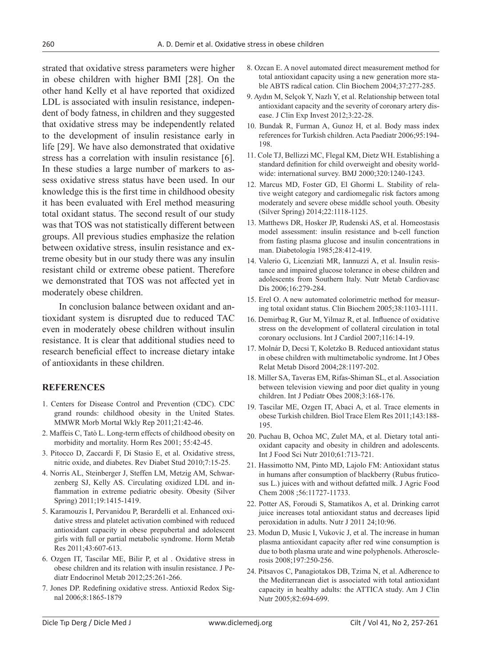strated that oxidative stress parameters were higher in obese children with higher BMI [28]. On the other hand Kelly et al have reported that oxidized LDL is associated with insulin resistance, independent of body fatness, in children and they suggested that oxidative stress may be independently related to the development of insulin resistance early in life [29]. We have also demonstrated that oxidative stress has a correlation with insulin resistance [6]. In these studies a large number of markers to assess oxidative stress status have been used. In our knowledge this is the first time in childhood obesity it has been evaluated with Erel method measuring total oxidant status. The second result of our study was that TOS was not statistically different between groups. All previous studies emphasize the relation between oxidative stress, insulin resistance and extreme obesity but in our study there was any insulin resistant child or extreme obese patient. Therefore we demonstrated that TOS was not affected yet in moderately obese children.

In conclusion balance between oxidant and antioxidant system is disrupted due to reduced TAC even in moderately obese children without insulin resistance. It is clear that additional studies need to research beneficial effect to increase dietary intake of antioxidants in these children.

## **REFERENCES**

- 1. Centers for Disease Control and Prevention (CDC). CDC grand rounds: childhood obesity in the United States. MMWR Morb Mortal Wkly Rep 2011;21:42-46.
- 2. Maffeis C, Tatò L. Long-term effects of childhood obesity on morbidity and mortality. Horm Res 2001; 55:42-45.
- 3. Pitocco D, Zaccardi F, Di Stasio E, et al. Oxidative stress, nitric oxide, and diabetes. Rev Diabet Stud 2010;7:15-25.
- 4. Norris AL, Steinberger J, Steffen LM, Metzig AM, Schwarzenberg SJ, Kelly AS. Circulating oxidized LDL and inflammation in extreme pediatric obesity. Obesity (Silver Spring) 2011;19:1415-1419.
- 5. Karamouzis I, Pervanidou P, Berardelli et al. Enhanced oxidative stress and platelet activation combined with reduced antioxidant capacity in obese prepubertal and adolescent girls with full or partial metabolic syndrome. Horm Metab Res 2011;43:607-613.
- 6. Ozgen IT, Tascilar ME, Bilir P, et al . Oxidative stress in obese children and its relation with insulin resistance. J Pediatr Endocrinol Metab 2012;25:261-266.
- 7. Jones DP. Redefining oxidative stress. Antioxid Redox Signal 2006;8:1865-1879
- 8. Ozcan E. A novel automated direct measurement method for total antioxidant capacity using a new generation more stable ABTS radical cation. Clin Biochem 2004;37:277-285.
- 9. Aydın M, Selçok Y, Nazlı Y, et al. Relationship between total antioxidant capacity and the severity of coronary artery disease. J Clin Exp Invest 2012;3:22-28.
- 10. Bundak R, Furman A, Gunoz H, et al. Body mass index references for Turkish children. Acta Paediatr 2006;95:194- 198.
- 11. Cole TJ, Bellizzi MC, Flegal KM, Dietz WH. Establishing a standard definition for child overweight and obesity worldwide: international survey. BMJ 2000;320:1240-1243.
- 12. Marcus MD, Foster GD, El Ghormi L. Stability of relative weight category and cardiomegalic risk factors among moderately and severe obese middle school youth. Obesity (Silver Spring) 2014;22:1118-1125.
- 13. Matthews DR, Hosker JP, Rudenski AS, et al. Homeostasis model assessment: insulin resistance and b-cell function from fasting plasma glucose and insulin concentrations in man. Diabetologia 1985;28:412-419.
- 14. Valerio G, Licenziati MR, Iannuzzi A, et al. Insulin resistance and impaired glucose tolerance in obese children and adolescents from Southern Italy. Nutr Metab Cardiovasc Dis 2006;16:279-284.
- 15. Erel O. A new automated colorimetric method for measuring total oxidant status. Clin Biochem 2005;38:1103-1111.
- 16. Demirbag R, Gur M, Yilmaz R, et al. Influence of oxidative stress on the development of collateral circulation in total coronary occlusions. Int J Cardiol 2007;116:14-19.
- 17. Molnár D, Decsi T, Koletzko B. Reduced antioxidant status in obese children with multimetabolic syndrome. Int J Obes Relat Metab Disord 2004;28:1197-202.
- 18. Miller SA, Taveras EM, Rifas-Shiman SL, et al. Association between television viewing and poor diet quality in young children. Int J Pediatr Obes 2008;3:168-176.
- 19. Tascilar ME, Ozgen IT, Abaci A, et al. Trace elements in obese Turkish children. Biol Trace Elem Res 2011;143:188- 195.
- 20. Puchau B, Ochoa MC, Zulet MA, et al. Dietary total antioxidant capacity and obesity in children and adolescents. Int J Food Sci Nutr 2010;61:713-721.
- 21. Hassimotto NM, Pinto MD, Lajolo FM: Antioxidant status in humans after consumption of blackberry (Rubus fruticosus L.) juices with and without defatted milk. J Agric Food Chem 2008 ;56:11727-11733.
- 22. Potter AS, Foroudi S, Stamatikos A, et al. Drinking carrot juice increases total antioxidant status and decreases lipid peroxidation in adults. Nutr J 2011 24;10:96.
- 23. Modun D, Music I, Vukovic J, et al. The increase in human plasma antioxidant capacity after red wine consumption is due to both plasma urate and wine polyphenols. Atherosclerosis 2008;197:250-256.
- 24. Pitsavos C, Panagiotakos DB, Tzima N, et al. Adherence to the Mediterranean diet is associated with total antioxidant capacity in healthy adults: the ATTICA study. Am J Clin Nutr 2005;82:694-699.